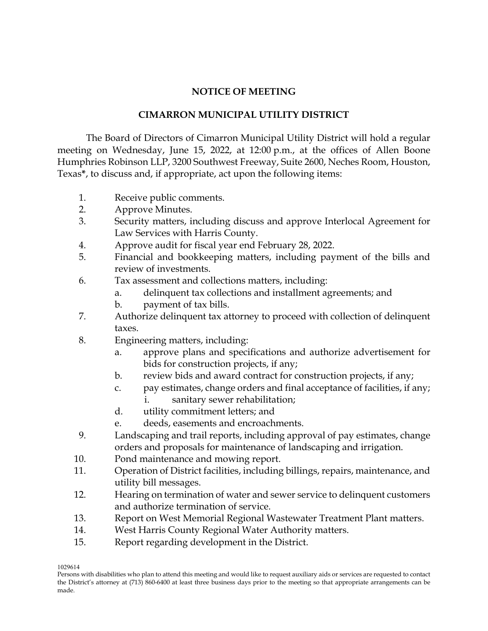## **NOTICE OF MEETING**

## **CIMARRON MUNICIPAL UTILITY DISTRICT**

The Board of Directors of Cimarron Municipal Utility District will hold a regular meeting on Wednesday, June 15, 2022, at 12:00 p.m., at the offices of Allen Boone Humphries Robinson LLP, 3200 Southwest Freeway, Suite 2600, Neches Room, Houston, Texas**\***, to discuss and, if appropriate, act upon the following items:

- 1. Receive public comments.
- 2. Approve Minutes.
- 3. Security matters, including discuss and approve Interlocal Agreement for Law Services with Harris County.
- 4. Approve audit for fiscal year end February 28, 2022.
- 5. Financial and bookkeeping matters, including payment of the bills and review of investments.
- 6. Tax assessment and collections matters, including:
	- a. delinquent tax collections and installment agreements; and
	- b. payment of tax bills.
- 7. Authorize delinquent tax attorney to proceed with collection of delinquent taxes.
- 8. Engineering matters, including:
	- a. approve plans and specifications and authorize advertisement for bids for construction projects, if any;
	- b. review bids and award contract for construction projects, if any;
	- c. pay estimates, change orders and final acceptance of facilities, if any;
		- i. sanitary sewer rehabilitation;
	- d. utility commitment letters; and
	- e. deeds, easements and encroachments.
- 9. Landscaping and trail reports, including approval of pay estimates, change orders and proposals for maintenance of landscaping and irrigation.
- 10. Pond maintenance and mowing report.
- 11. Operation of District facilities, including billings, repairs, maintenance, and utility bill messages.
- 12. Hearing on termination of water and sewer service to delinquent customers and authorize termination of service.
- 13. Report on West Memorial Regional Wastewater Treatment Plant matters.
- 14. West Harris County Regional Water Authority matters.
- 15. Report regarding development in the District.

1029614

Persons with disabilities who plan to attend this meeting and would like to request auxiliary aids or services are requested to contact the District's attorney at (713) 860-6400 at least three business days prior to the meeting so that appropriate arrangements can be made.